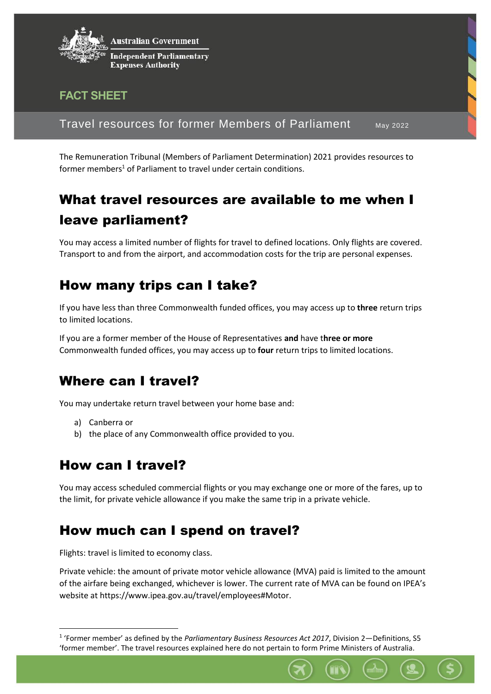

#### **FACT SHEET**

Travel resources for former Members of Parliament May 2022

The Remuneration Tribunal (Members of Parliament Determination) 2021 provides resources to former members<sup>1</sup> of Parliament to travel under certain conditions.

# What travel resources are available to me when I leave parliament?

You may access a limited number of flights for travel to defined locations. Only flights are covered. Transport to and from the airport, and accommodation costs for the trip are personal expenses.

# How many trips can I take?

If you have less than three Commonwealth funded offices, you may access up to **three** return trips to limited locations.

If you are a former member of the House of Representatives **and** have t**hree or more** Commonwealth funded offices, you may access up to **four** return trips to limited locations.

### Where can I travel?

You may undertake return travel between your home base and:

a) Canberra or

1

b) the place of any Commonwealth office provided to you.

# How can I travel?

You may access scheduled commercial flights or you may exchange one or more of the fares, up to the limit, for private vehicle allowance if you make the same trip in a private vehicle.

### How much can I spend on travel?

Flights: travel is limited to economy class.

Private vehicle: the amount of private motor vehicle allowance (MVA) paid is limited to the amount of the airfare being exchanged, whichever is lower. The current rate of MVA can be found on IPEA's website at https://www.ipea.gov.au/travel/employees#Motor.

<sup>&</sup>lt;sup>1</sup> 'Former member' as defined by the *Parliamentary Business Resources Act 2017*, Division 2—Definitions, S5 'former member'. The travel resources explained here do not pertain to form Prime Ministers of Australia.